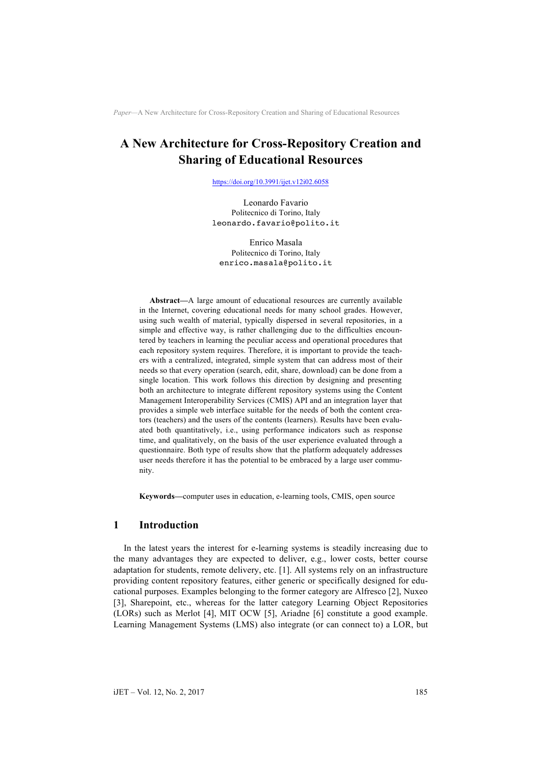# **A New Architecture for Cross-Repository Creation and Sharing of Educational Resources**

https://doi.org/10.3991/ijet.v12i02.6058

Leonardo Favario Politecnico di Torino, Italy leonardo.favario@polito.it

Enrico Masala Politecnico di Torino, Italy enrico.masala@polito.it

**Abstract—**A large amount of educational resources are currently available in the Internet, covering educational needs for many school grades. However, using such wealth of material, typically dispersed in several repositories, in a simple and effective way, is rather challenging due to the difficulties encountered by teachers in learning the peculiar access and operational procedures that each repository system requires. Therefore, it is important to provide the teachers with a centralized, integrated, simple system that can address most of their needs so that every operation (search, edit, share, download) can be done from a single location. This work follows this direction by designing and presenting both an architecture to integrate different repository systems using the Content Management Interoperability Services (CMIS) API and an integration layer that provides a simple web interface suitable for the needs of both the content creators (teachers) and the users of the contents (learners). Results have been evaluated both quantitatively, i.e., using performance indicators such as response time, and qualitatively, on the basis of the user experience evaluated through a questionnaire. Both type of results show that the platform adequately addresses user needs therefore it has the potential to be embraced by a large user community.

**Keywords—**computer uses in education, e-learning tools, CMIS, open source

### **1 Introduction**

In the latest years the interest for e-learning systems is steadily increasing due to the many advantages they are expected to deliver, e.g., lower costs, better course adaptation for students, remote delivery, etc. [1]. All systems rely on an infrastructure providing content repository features, either generic or specifically designed for educational purposes. Examples belonging to the former category are Alfresco [2], Nuxeo [3], Sharepoint, etc., whereas for the latter category Learning Object Repositories (LORs) such as Merlot [4], MIT OCW [5], Ariadne [6] constitute a good example. Learning Management Systems (LMS) also integrate (or can connect to) a LOR, but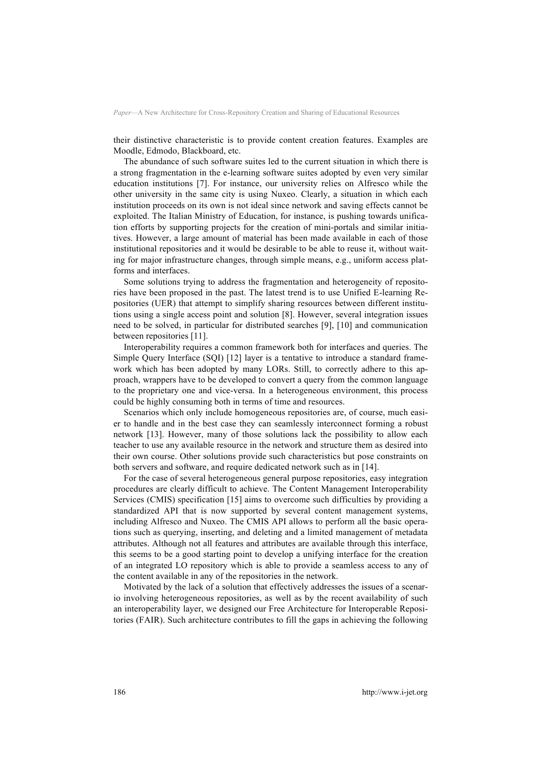their distinctive characteristic is to provide content creation features. Examples are Moodle, Edmodo, Blackboard, etc.

The abundance of such software suites led to the current situation in which there is a strong fragmentation in the e-learning software suites adopted by even very similar education institutions [7]. For instance, our university relies on Alfresco while the other university in the same city is using Nuxeo. Clearly, a situation in which each institution proceeds on its own is not ideal since network and saving effects cannot be exploited. The Italian Ministry of Education, for instance, is pushing towards unification efforts by supporting projects for the creation of mini-portals and similar initiatives. However, a large amount of material has been made available in each of those institutional repositories and it would be desirable to be able to reuse it, without waiting for major infrastructure changes, through simple means, e.g., uniform access platforms and interfaces.

Some solutions trying to address the fragmentation and heterogeneity of repositories have been proposed in the past. The latest trend is to use Unified E-learning Repositories (UER) that attempt to simplify sharing resources between different institutions using a single access point and solution [8]. However, several integration issues need to be solved, in particular for distributed searches [9], [10] and communication between repositories [11].

Interoperability requires a common framework both for interfaces and queries. The Simple Query Interface (SQI) [12] layer is a tentative to introduce a standard framework which has been adopted by many LORs. Still, to correctly adhere to this approach, wrappers have to be developed to convert a query from the common language to the proprietary one and vice-versa. In a heterogeneous environment, this process could be highly consuming both in terms of time and resources.

Scenarios which only include homogeneous repositories are, of course, much easier to handle and in the best case they can seamlessly interconnect forming a robust network [13]. However, many of those solutions lack the possibility to allow each teacher to use any available resource in the network and structure them as desired into their own course. Other solutions provide such characteristics but pose constraints on both servers and software, and require dedicated network such as in [14].

For the case of several heterogeneous general purpose repositories, easy integration procedures are clearly difficult to achieve. The Content Management Interoperability Services (CMIS) specification [15] aims to overcome such difficulties by providing a standardized API that is now supported by several content management systems, including Alfresco and Nuxeo. The CMIS API allows to perform all the basic operations such as querying, inserting, and deleting and a limited management of metadata attributes. Although not all features and attributes are available through this interface, this seems to be a good starting point to develop a unifying interface for the creation of an integrated LO repository which is able to provide a seamless access to any of the content available in any of the repositories in the network.

Motivated by the lack of a solution that effectively addresses the issues of a scenario involving heterogeneous repositories, as well as by the recent availability of such an interoperability layer, we designed our Free Architecture for Interoperable Repositories (FAIR). Such architecture contributes to fill the gaps in achieving the following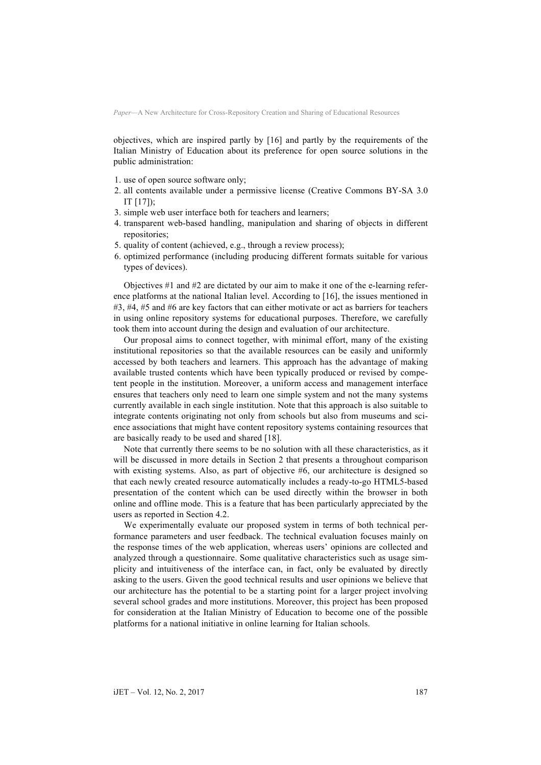objectives, which are inspired partly by [16] and partly by the requirements of the Italian Ministry of Education about its preference for open source solutions in the public administration:

- 1. use of open source software only;
- 2. all contents available under a permissive license (Creative Commons BY-SA 3.0 IT [17]);
- 3. simple web user interface both for teachers and learners;
- 4. transparent web-based handling, manipulation and sharing of objects in different repositories;
- 5. quality of content (achieved, e.g., through a review process);
- 6. optimized performance (including producing different formats suitable for various types of devices).

Objectives #1 and #2 are dictated by our aim to make it one of the e-learning reference platforms at the national Italian level. According to [16], the issues mentioned in #3, #4, #5 and #6 are key factors that can either motivate or act as barriers for teachers in using online repository systems for educational purposes. Therefore, we carefully took them into account during the design and evaluation of our architecture.

Our proposal aims to connect together, with minimal effort, many of the existing institutional repositories so that the available resources can be easily and uniformly accessed by both teachers and learners. This approach has the advantage of making available trusted contents which have been typically produced or revised by competent people in the institution. Moreover, a uniform access and management interface ensures that teachers only need to learn one simple system and not the many systems currently available in each single institution. Note that this approach is also suitable to integrate contents originating not only from schools but also from museums and science associations that might have content repository systems containing resources that are basically ready to be used and shared [18].

Note that currently there seems to be no solution with all these characteristics, as it will be discussed in more details in Section 2 that presents a throughout comparison with existing systems. Also, as part of objective #6, our architecture is designed so that each newly created resource automatically includes a ready-to-go HTML5-based presentation of the content which can be used directly within the browser in both online and offline mode. This is a feature that has been particularly appreciated by the users as reported in Section 4.2.

We experimentally evaluate our proposed system in terms of both technical performance parameters and user feedback. The technical evaluation focuses mainly on the response times of the web application, whereas users' opinions are collected and analyzed through a questionnaire. Some qualitative characteristics such as usage simplicity and intuitiveness of the interface can, in fact, only be evaluated by directly asking to the users. Given the good technical results and user opinions we believe that our architecture has the potential to be a starting point for a larger project involving several school grades and more institutions. Moreover, this project has been proposed for consideration at the Italian Ministry of Education to become one of the possible platforms for a national initiative in online learning for Italian schools.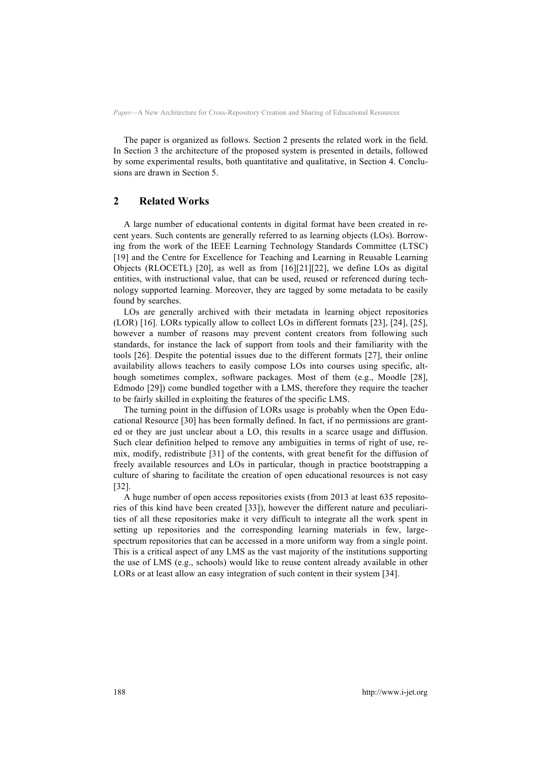The paper is organized as follows. Section 2 presents the related work in the field. In Section 3 the architecture of the proposed system is presented in details, followed by some experimental results, both quantitative and qualitative, in Section 4. Conclusions are drawn in Section 5.

### **2 Related Works**

A large number of educational contents in digital format have been created in recent years. Such contents are generally referred to as learning objects (LOs). Borrowing from the work of the IEEE Learning Technology Standards Committee (LTSC) [19] and the Centre for Excellence for Teaching and Learning in Reusable Learning Objects (RLOCETL) [20], as well as from [16][21][22], we define LOs as digital entities, with instructional value, that can be used, reused or referenced during technology supported learning. Moreover, they are tagged by some metadata to be easily found by searches.

LOs are generally archived with their metadata in learning object repositories (LOR) [16]. LORs typically allow to collect LOs in different formats [23], [24], [25], however a number of reasons may prevent content creators from following such standards, for instance the lack of support from tools and their familiarity with the tools [26]. Despite the potential issues due to the different formats [27], their online availability allows teachers to easily compose LOs into courses using specific, although sometimes complex, software packages. Most of them (e.g., Moodle [28], Edmodo [29]) come bundled together with a LMS, therefore they require the teacher to be fairly skilled in exploiting the features of the specific LMS.

The turning point in the diffusion of LORs usage is probably when the Open Educational Resource [30] has been formally defined. In fact, if no permissions are granted or they are just unclear about a LO, this results in a scarce usage and diffusion. Such clear definition helped to remove any ambiguities in terms of right of use, remix, modify, redistribute [31] of the contents, with great benefit for the diffusion of freely available resources and LOs in particular, though in practice bootstrapping a culture of sharing to facilitate the creation of open educational resources is not easy [32].

A huge number of open access repositories exists (from 2013 at least 635 repositories of this kind have been created [33]), however the different nature and peculiarities of all these repositories make it very difficult to integrate all the work spent in setting up repositories and the corresponding learning materials in few, largespectrum repositories that can be accessed in a more uniform way from a single point. This is a critical aspect of any LMS as the vast majority of the institutions supporting the use of LMS (e.g., schools) would like to reuse content already available in other LORs or at least allow an easy integration of such content in their system [34].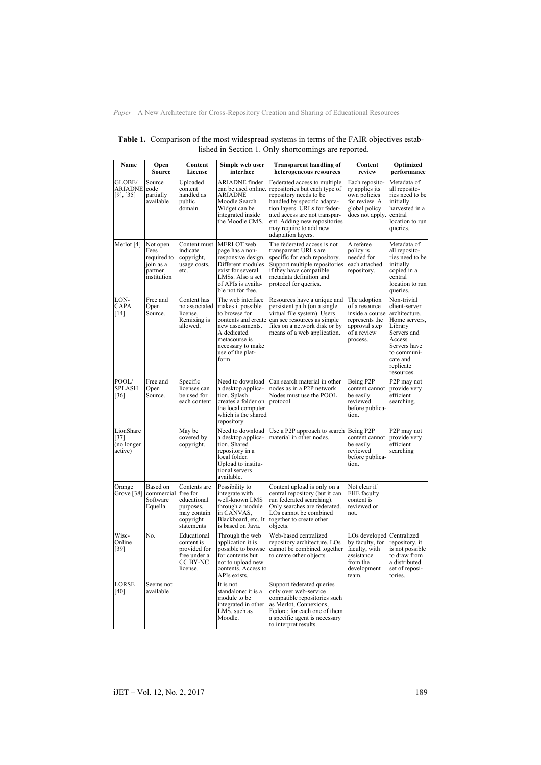| Name                                            | Open<br>Source                                                          | Content<br>License                                                                             | Simple web user<br>interface                                                                                                                                                         | <b>Transparent handling of</b><br>heterogeneous resources                                                                                                                                                                                                               | Content<br>review                                                                                              | Optimized<br>performance                                                                                                                                                 |
|-------------------------------------------------|-------------------------------------------------------------------------|------------------------------------------------------------------------------------------------|--------------------------------------------------------------------------------------------------------------------------------------------------------------------------------------|-------------------------------------------------------------------------------------------------------------------------------------------------------------------------------------------------------------------------------------------------------------------------|----------------------------------------------------------------------------------------------------------------|--------------------------------------------------------------------------------------------------------------------------------------------------------------------------|
| GLOBE/<br><b>ARIADNE</b> code<br>$[9]$ , $[35]$ | Source<br>partially<br>available                                        | Uploaded<br>content<br>handled as<br>public<br>domain.                                         | <b>ARIADNE</b> finder<br>can be used online.<br><b>ARIADNE</b><br>Moodle Search<br>Widget can be<br>integrated inside<br>the Moodle CMS.                                             | Federated access to multiple<br>repositories but each type of<br>repository needs to be<br>handled by specific adapta-<br>tion layers. URLs for feder-<br>ated access are not transpar-<br>ent. Adding new repositories<br>may require to add new<br>adaptation layers. | Each reposito-<br>ry applies its<br>own policies<br>for review. A<br>global policy<br>does not apply.          | Metadata of<br>all reposito-<br>ries need to be<br>initially<br>harvested in a<br>central<br>location to run<br>queries.                                                 |
| Merlot <sup>[4]</sup>                           | Not open.<br>Fees<br>required to<br>join as a<br>partner<br>institution | Content must<br>indicate<br>copyright,<br>usage costs,<br>etc.                                 | MERLOT web<br>page has a non-<br>responsive design.<br>Different modules<br>exist for several<br>LMSs. Also a set<br>of APIs is availa-<br>ble not for free.                         | The federated access is not<br>transparent: URLs are<br>specific for each repository.<br>Support multiple repositories<br>if they have compatible<br>metadata definition and<br>protocol for queries.                                                                   | A referee<br>policy is<br>needed for<br>each attached<br>repository.                                           | Metadata of<br>all reposito-<br>ries need to be<br>initially<br>copied in a<br>central<br>location to run<br>queries.                                                    |
| LON-<br>CAPA<br>$[14]$                          | Free and<br>Open<br>Source.                                             | Content has<br>no associated<br>license.<br>Remixing is<br>allowed.                            | The web interface<br>makes it possible<br>to browse for<br>contents and create<br>new assessments.<br>A dedicated<br>metacourse is<br>necessary to make<br>use of the plat-<br>form. | Resources have a unique and<br>persistent path (on a single<br>virtual file system). Users<br>can see resources as simple<br>files on a network disk or by<br>means of a web application.                                                                               | The adoption<br>of a resource<br>inside a course<br>represents the<br>approval step<br>of a review<br>process. | Non-trivial<br>client-server<br>architecture.<br>Home servers,<br>Library<br>Servers and<br>Access<br>Servers have<br>to communi-<br>cate and<br>replicate<br>resources. |
| POOL/<br><b>SPLASH</b><br>[36]                  | Free and<br>Open<br>Source.                                             | Specific<br>licenses can<br>be used for<br>each content                                        | Need to download<br>a desktop applica-<br>tion. Splash<br>creates a folder on<br>the local computer<br>which is the shared<br>repository.                                            | Can search material in other<br>nodes as in a P2P network.<br>Nodes must use the POOL<br>protocol.                                                                                                                                                                      | Being P2P<br>content cannot<br>be easily<br>reviewed<br>before publica-<br>tion.                               | P <sub>2</sub> P may not<br>provide very<br>efficient<br>searching.                                                                                                      |
| LionShare<br>$[37]$<br>(no longer<br>active)    |                                                                         | May be<br>covered by<br>copyright.                                                             | Need to download<br>a desktop applica-<br>tion. Shared<br>repository in a<br>local folder.<br>Upload to institu-<br>tional servers<br>available.                                     | Use a P2P approach to search<br>material in other nodes.                                                                                                                                                                                                                | Being P <sub>2</sub> P<br>content cannot<br>be easily<br>reviewed<br>before publica-<br>tion.                  | P2P may not<br>provide very<br>efficient<br>searching                                                                                                                    |
| Orange<br>Grove [38]                            | Based on<br>commercial<br>Software<br>Equella.                          | Contents are<br>free for<br>educational<br>purposes,<br>may contain<br>copyright<br>statements | Possibility to<br>integrate with<br>well-known LMS<br>through a module<br>in CANVAS,<br>Blackboard, etc. It<br>is based on Java.                                                     | Content upload is only on a<br>central repository (but it can<br>run federated searching).<br>Only searches are federated.<br>LOs cannot be combined<br>together to create other<br>objects.                                                                            | Not clear if<br>FHE faculty<br>content is<br>reviewed or<br>not.                                               |                                                                                                                                                                          |
| Wisc-<br>Online<br>$[39]$                       | No.                                                                     | Educational<br>content is<br>provided for<br>free under a<br>CC BY-NC<br>license.              | Through the web<br>application it is<br>possible to browse<br>for contents but<br>not to upload new<br>contents. Access to<br>APIs exists.                                           | Web-based centralized<br>repository architecture. LOs<br>cannot be combined together<br>to create other objects.                                                                                                                                                        | LOs developed<br>by faculty, for<br>faculty, with<br>assistance<br>from the<br>development<br>team.            | Centralized<br>repository, it<br>is not possible<br>to draw from<br>a distributed<br>set of reposi-<br>tories.                                                           |
| LORSE<br>$[40]$                                 | Seems not<br>available                                                  |                                                                                                | It is not<br>standalone: it is a<br>module to be<br>integrated in other<br>LMS, such as<br>Moodle.                                                                                   | Support federated queries<br>only over web-service<br>compatible repositories such<br>as Merlot, Connexions,<br>Fedora; for each one of them<br>a specific agent is necessary<br>to interpret results.                                                                  |                                                                                                                |                                                                                                                                                                          |

| <b>Table 1.</b> Comparison of the most widespread systems in terms of the FAIR objectives estab- |  |
|--------------------------------------------------------------------------------------------------|--|
| lished in Section 1. Only shortcomings are reported.                                             |  |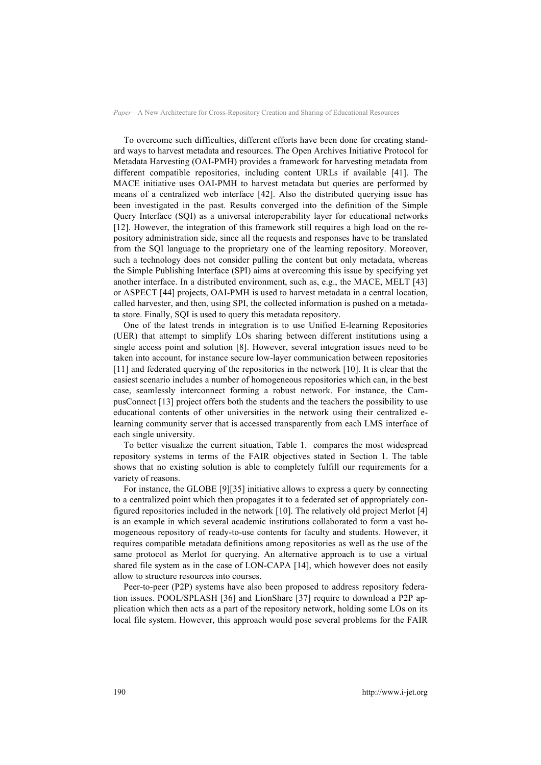To overcome such difficulties, different efforts have been done for creating standard ways to harvest metadata and resources. The Open Archives Initiative Protocol for Metadata Harvesting (OAI-PMH) provides a framework for harvesting metadata from different compatible repositories, including content URLs if available [41]. The MACE initiative uses OAI-PMH to harvest metadata but queries are performed by means of a centralized web interface [42]. Also the distributed querying issue has been investigated in the past. Results converged into the definition of the Simple Query Interface (SQI) as a universal interoperability layer for educational networks [12]. However, the integration of this framework still requires a high load on the repository administration side, since all the requests and responses have to be translated from the SQI language to the proprietary one of the learning repository. Moreover, such a technology does not consider pulling the content but only metadata, whereas the Simple Publishing Interface (SPI) aims at overcoming this issue by specifying yet another interface. In a distributed environment, such as, e.g., the MACE, MELT [43] or ASPECT [44] projects, OAI-PMH is used to harvest metadata in a central location, called harvester, and then, using SPI, the collected information is pushed on a metadata store. Finally, SQI is used to query this metadata repository.

One of the latest trends in integration is to use Unified E-learning Repositories (UER) that attempt to simplify LOs sharing between different institutions using a single access point and solution [8]. However, several integration issues need to be taken into account, for instance secure low-layer communication between repositories [11] and federated querying of the repositories in the network [10]. It is clear that the easiest scenario includes a number of homogeneous repositories which can, in the best case, seamlessly interconnect forming a robust network. For instance, the CampusConnect [13] project offers both the students and the teachers the possibility to use educational contents of other universities in the network using their centralized elearning community server that is accessed transparently from each LMS interface of each single university.

To better visualize the current situation, Table 1. compares the most widespread repository systems in terms of the FAIR objectives stated in Section 1. The table shows that no existing solution is able to completely fulfill our requirements for a variety of reasons.

For instance, the GLOBE [9][35] initiative allows to express a query by connecting to a centralized point which then propagates it to a federated set of appropriately configured repositories included in the network [10]. The relatively old project Merlot [4] is an example in which several academic institutions collaborated to form a vast homogeneous repository of ready-to-use contents for faculty and students. However, it requires compatible metadata definitions among repositories as well as the use of the same protocol as Merlot for querying. An alternative approach is to use a virtual shared file system as in the case of LON-CAPA [14], which however does not easily allow to structure resources into courses.

Peer-to-peer (P2P) systems have also been proposed to address repository federation issues. POOL/SPLASH [36] and LionShare [37] require to download a P2P application which then acts as a part of the repository network, holding some LOs on its local file system. However, this approach would pose several problems for the FAIR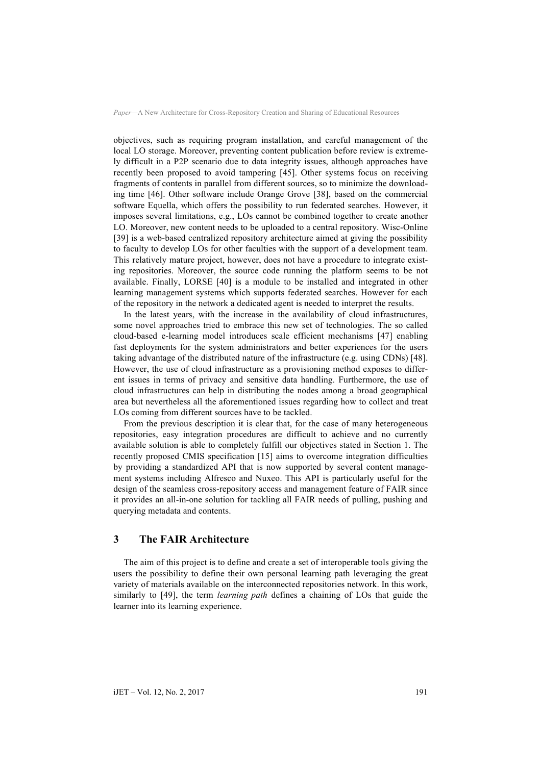objectives, such as requiring program installation, and careful management of the local LO storage. Moreover, preventing content publication before review is extremely difficult in a P2P scenario due to data integrity issues, although approaches have recently been proposed to avoid tampering [45]. Other systems focus on receiving fragments of contents in parallel from different sources, so to minimize the downloading time [46]. Other software include Orange Grove [38], based on the commercial software Equella, which offers the possibility to run federated searches. However, it imposes several limitations, e.g., LOs cannot be combined together to create another LO. Moreover, new content needs to be uploaded to a central repository. Wisc-Online [39] is a web-based centralized repository architecture aimed at giving the possibility to faculty to develop LOs for other faculties with the support of a development team. This relatively mature project, however, does not have a procedure to integrate existing repositories. Moreover, the source code running the platform seems to be not available. Finally, LORSE [40] is a module to be installed and integrated in other learning management systems which supports federated searches. However for each of the repository in the network a dedicated agent is needed to interpret the results.

In the latest years, with the increase in the availability of cloud infrastructures, some novel approaches tried to embrace this new set of technologies. The so called cloud-based e-learning model introduces scale efficient mechanisms [47] enabling fast deployments for the system administrators and better experiences for the users taking advantage of the distributed nature of the infrastructure (e.g. using CDNs) [48]. However, the use of cloud infrastructure as a provisioning method exposes to different issues in terms of privacy and sensitive data handling. Furthermore, the use of cloud infrastructures can help in distributing the nodes among a broad geographical area but nevertheless all the aforementioned issues regarding how to collect and treat LOs coming from different sources have to be tackled.

From the previous description it is clear that, for the case of many heterogeneous repositories, easy integration procedures are difficult to achieve and no currently available solution is able to completely fulfill our objectives stated in Section 1. The recently proposed CMIS specification [15] aims to overcome integration difficulties by providing a standardized API that is now supported by several content management systems including Alfresco and Nuxeo. This API is particularly useful for the design of the seamless cross-repository access and management feature of FAIR since it provides an all-in-one solution for tackling all FAIR needs of pulling, pushing and querying metadata and contents.

### **3 The FAIR Architecture**

The aim of this project is to define and create a set of interoperable tools giving the users the possibility to define their own personal learning path leveraging the great variety of materials available on the interconnected repositories network. In this work, similarly to [49], the term *learning path* defines a chaining of LOs that guide the learner into its learning experience.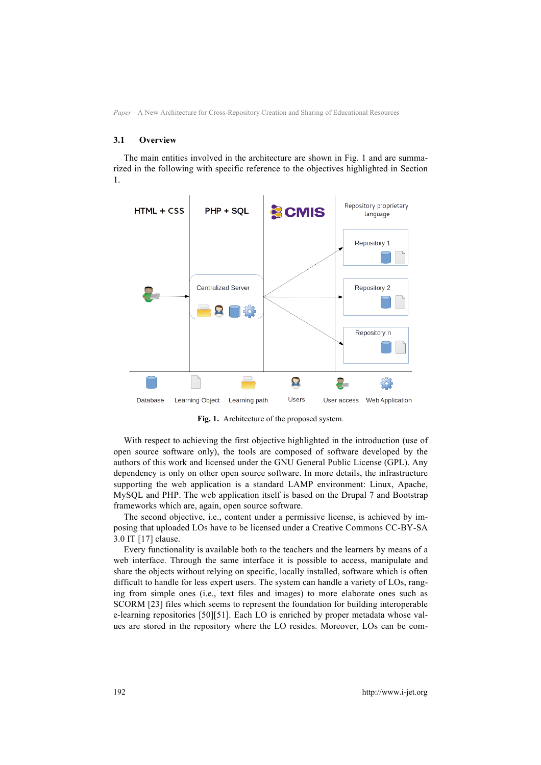#### **3.1 Overview**

The main entities involved in the architecture are shown in Fig. 1 and are summarized in the following with specific reference to the objectives highlighted in Section 1.



**Fig. 1.** Architecture of the proposed system.

With respect to achieving the first objective highlighted in the introduction (use of open source software only), the tools are composed of software developed by the authors of this work and licensed under the GNU General Public License (GPL). Any dependency is only on other open source software. In more details, the infrastructure supporting the web application is a standard LAMP environment: Linux, Apache, MySQL and PHP. The web application itself is based on the Drupal 7 and Bootstrap frameworks which are, again, open source software.

The second objective, i.e., content under a permissive license, is achieved by imposing that uploaded LOs have to be licensed under a Creative Commons CC-BY-SA 3.0 IT [17] clause.

Every functionality is available both to the teachers and the learners by means of a web interface. Through the same interface it is possible to access, manipulate and share the objects without relying on specific, locally installed, software which is often difficult to handle for less expert users. The system can handle a variety of LOs, ranging from simple ones (i.e., text files and images) to more elaborate ones such as SCORM [23] files which seems to represent the foundation for building interoperable e-learning repositories [50][51]. Each LO is enriched by proper metadata whose values are stored in the repository where the LO resides. Moreover, LOs can be com-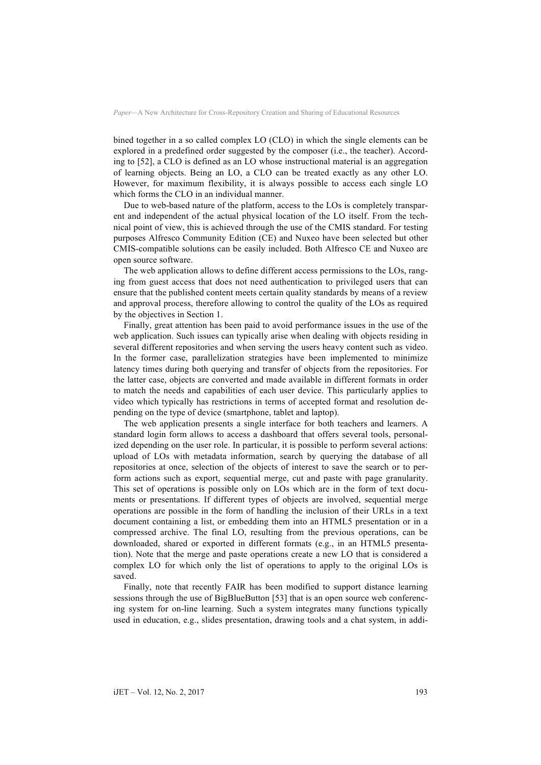bined together in a so called complex LO (CLO) in which the single elements can be explored in a predefined order suggested by the composer (i.e., the teacher). According to [52], a CLO is defined as an LO whose instructional material is an aggregation of learning objects. Being an LO, a CLO can be treated exactly as any other LO. However, for maximum flexibility, it is always possible to access each single LO which forms the CLO in an individual manner.

Due to web-based nature of the platform, access to the LOs is completely transparent and independent of the actual physical location of the LO itself. From the technical point of view, this is achieved through the use of the CMIS standard. For testing purposes Alfresco Community Edition (CE) and Nuxeo have been selected but other CMIS-compatible solutions can be easily included. Both Alfresco CE and Nuxeo are open source software.

The web application allows to define different access permissions to the LOs, ranging from guest access that does not need authentication to privileged users that can ensure that the published content meets certain quality standards by means of a review and approval process, therefore allowing to control the quality of the LOs as required by the objectives in Section 1.

Finally, great attention has been paid to avoid performance issues in the use of the web application. Such issues can typically arise when dealing with objects residing in several different repositories and when serving the users heavy content such as video. In the former case, parallelization strategies have been implemented to minimize latency times during both querying and transfer of objects from the repositories. For the latter case, objects are converted and made available in different formats in order to match the needs and capabilities of each user device. This particularly applies to video which typically has restrictions in terms of accepted format and resolution depending on the type of device (smartphone, tablet and laptop).

The web application presents a single interface for both teachers and learners. A standard login form allows to access a dashboard that offers several tools, personalized depending on the user role. In particular, it is possible to perform several actions: upload of LOs with metadata information, search by querying the database of all repositories at once, selection of the objects of interest to save the search or to perform actions such as export, sequential merge, cut and paste with page granularity. This set of operations is possible only on LOs which are in the form of text documents or presentations. If different types of objects are involved, sequential merge operations are possible in the form of handling the inclusion of their URLs in a text document containing a list, or embedding them into an HTML5 presentation or in a compressed archive. The final LO, resulting from the previous operations, can be downloaded, shared or exported in different formats (e.g., in an HTML5 presentation). Note that the merge and paste operations create a new LO that is considered a complex LO for which only the list of operations to apply to the original LOs is saved.

Finally, note that recently FAIR has been modified to support distance learning sessions through the use of BigBlueButton [53] that is an open source web conferencing system for on-line learning. Such a system integrates many functions typically used in education, e.g., slides presentation, drawing tools and a chat system, in addi-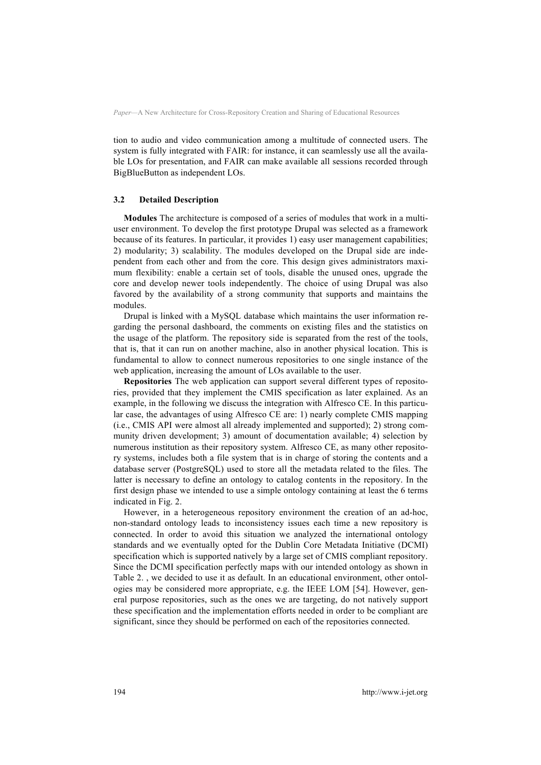tion to audio and video communication among a multitude of connected users. The system is fully integrated with FAIR: for instance, it can seamlessly use all the available LOs for presentation, and FAIR can make available all sessions recorded through BigBlueButton as independent LOs.

#### **3.2 Detailed Description**

**Modules** The architecture is composed of a series of modules that work in a multiuser environment. To develop the first prototype Drupal was selected as a framework because of its features. In particular, it provides 1) easy user management capabilities; 2) modularity; 3) scalability. The modules developed on the Drupal side are independent from each other and from the core. This design gives administrators maximum flexibility: enable a certain set of tools, disable the unused ones, upgrade the core and develop newer tools independently. The choice of using Drupal was also favored by the availability of a strong community that supports and maintains the modules.

Drupal is linked with a MySQL database which maintains the user information regarding the personal dashboard, the comments on existing files and the statistics on the usage of the platform. The repository side is separated from the rest of the tools, that is, that it can run on another machine, also in another physical location. This is fundamental to allow to connect numerous repositories to one single instance of the web application, increasing the amount of LOs available to the user.

**Repositories** The web application can support several different types of repositories, provided that they implement the CMIS specification as later explained. As an example, in the following we discuss the integration with Alfresco CE. In this particular case, the advantages of using Alfresco CE are: 1) nearly complete CMIS mapping (i.e., CMIS API were almost all already implemented and supported); 2) strong community driven development; 3) amount of documentation available; 4) selection by numerous institution as their repository system. Alfresco CE, as many other repository systems, includes both a file system that is in charge of storing the contents and a database server (PostgreSQL) used to store all the metadata related to the files. The latter is necessary to define an ontology to catalog contents in the repository. In the first design phase we intended to use a simple ontology containing at least the 6 terms indicated in Fig. 2.

However, in a heterogeneous repository environment the creation of an ad-hoc, non-standard ontology leads to inconsistency issues each time a new repository is connected. In order to avoid this situation we analyzed the international ontology standards and we eventually opted for the Dublin Core Metadata Initiative (DCMI) specification which is supported natively by a large set of CMIS compliant repository. Since the DCMI specification perfectly maps with our intended ontology as shown in Table 2. , we decided to use it as default. In an educational environment, other ontologies may be considered more appropriate, e.g. the IEEE LOM [54]. However, general purpose repositories, such as the ones we are targeting, do not natively support these specification and the implementation efforts needed in order to be compliant are significant, since they should be performed on each of the repositories connected.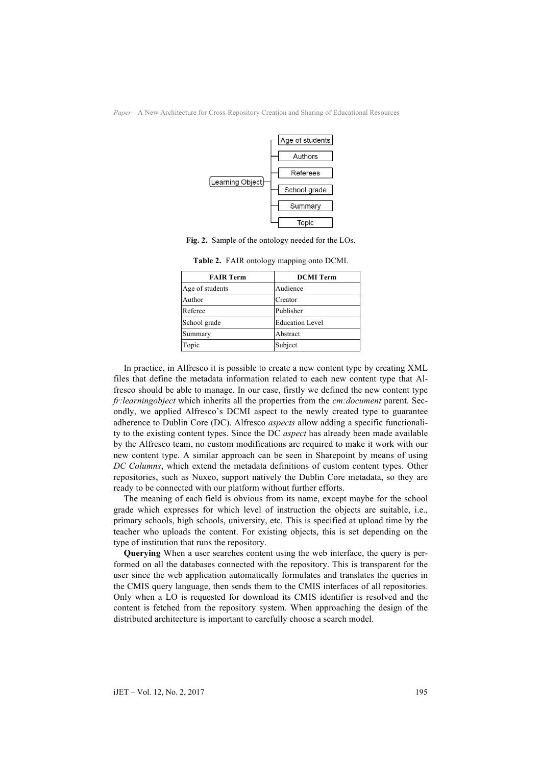

**Fig. 2.** Sample of the ontology needed for the LOs.

| <b>FAIR Term</b> | <b>DCMI</b> Term       |  |
|------------------|------------------------|--|
| Age of students  | Audience               |  |
| Author           | Creator                |  |
| Referee          | Publisher              |  |
| School grade     | <b>Education Level</b> |  |
| Summary          | Abstract               |  |
| Topic            | Subject                |  |

**Table 2.** FAIR ontology mapping onto DCMI.

In practice, in Alfresco it is possible to create a new content type by creating XML files that define the metadata information related to each new content type that Alfresco should be able to manage. In our case, firstly we defined the new content type *fr:learningobject* which inherits all the properties from the *cm:document* parent. Secondly, we applied Alfresco's DCMI aspect to the newly created type to guarantee adherence to Dublin Core (DC). Alfresco *aspects* allow adding a specific functionality to the existing content types. Since the DC *aspect* has already been made available by the Alfresco team, no custom modifications are required to make it work with our new content type. A similar approach can be seen in Sharepoint by means of using *DC Columns*, which extend the metadata definitions of custom content types. Other repositories, such as Nuxeo, support natively the Dublin Core metadata, so they are ready to be connected with our platform without further efforts.

The meaning of each field is obvious from its name, except maybe for the school grade which expresses for which level of instruction the objects are suitable, i.e., primary schools, high schools, university, etc. This is specified at upload time by the teacher who uploads the content. For existing objects, this is set depending on the type of institution that runs the repository.

**Querying** When a user searches content using the web interface, the query is performed on all the databases connected with the repository. This is transparent for the user since the web application automatically formulates and translates the queries in the CMIS query language, then sends them to the CMIS interfaces of all repositories. Only when a LO is requested for download its CMIS identifier is resolved and the content is fetched from the repository system. When approaching the design of the distributed architecture is important to carefully choose a search model.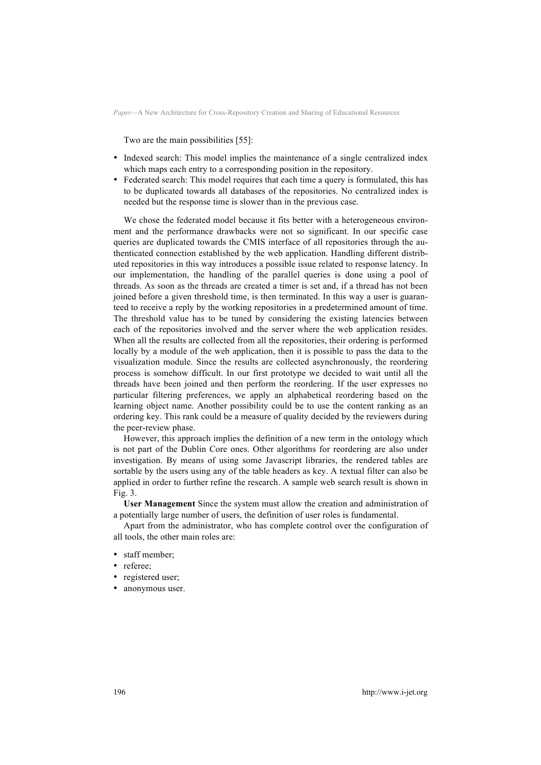Two are the main possibilities [55]:

- Indexed search: This model implies the maintenance of a single centralized index which maps each entry to a corresponding position in the repository.
- Federated search: This model requires that each time a query is formulated, this has to be duplicated towards all databases of the repositories. No centralized index is needed but the response time is slower than in the previous case.

We chose the federated model because it fits better with a heterogeneous environment and the performance drawbacks were not so significant. In our specific case queries are duplicated towards the CMIS interface of all repositories through the authenticated connection established by the web application. Handling different distributed repositories in this way introduces a possible issue related to response latency. In our implementation, the handling of the parallel queries is done using a pool of threads. As soon as the threads are created a timer is set and, if a thread has not been joined before a given threshold time, is then terminated. In this way a user is guaranteed to receive a reply by the working repositories in a predetermined amount of time. The threshold value has to be tuned by considering the existing latencies between each of the repositories involved and the server where the web application resides. When all the results are collected from all the repositories, their ordering is performed locally by a module of the web application, then it is possible to pass the data to the visualization module. Since the results are collected asynchronously, the reordering process is somehow difficult. In our first prototype we decided to wait until all the threads have been joined and then perform the reordering. If the user expresses no particular filtering preferences, we apply an alphabetical reordering based on the learning object name. Another possibility could be to use the content ranking as an ordering key. This rank could be a measure of quality decided by the reviewers during the peer-review phase.

However, this approach implies the definition of a new term in the ontology which is not part of the Dublin Core ones. Other algorithms for reordering are also under investigation. By means of using some Javascript libraries, the rendered tables are sortable by the users using any of the table headers as key. A textual filter can also be applied in order to further refine the research. A sample web search result is shown in Fig. 3.

**User Management** Since the system must allow the creation and administration of a potentially large number of users, the definition of user roles is fundamental.

Apart from the administrator, who has complete control over the configuration of all tools, the other main roles are:

- staff member;
- referee;
- registered user:
- anonymous user.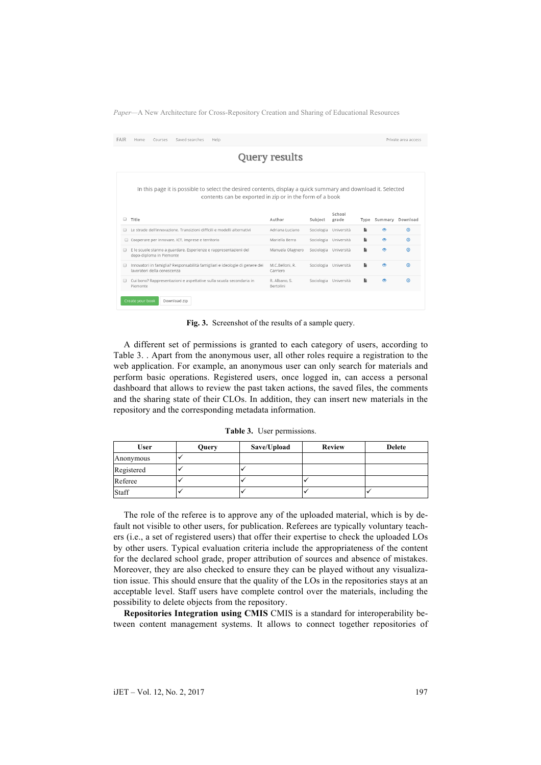| FAIR   | Saved searches<br>Courses<br>Help<br>Home                                                                                                                                 |                             |            |                       |      |                | Private area access |
|--------|---------------------------------------------------------------------------------------------------------------------------------------------------------------------------|-----------------------------|------------|-----------------------|------|----------------|---------------------|
|        | Query results                                                                                                                                                             |                             |            |                       |      |                |                     |
|        | In this page it is possible to select the desired contents, display a quick summary and download it. Selected<br>contents can be exported in zip or in the form of a book |                             |            |                       |      |                |                     |
| □      | Title                                                                                                                                                                     | Author                      | Subject    | School<br>grade       | Type | Summary        | Download            |
|        | Le strade dell'innovazione. Transizioni difficili e modelli alternativi                                                                                                   | Adriana Luciano             | Sociologia | Università            | B    | $\circ$        | $\odot$             |
|        | Cooperare per innovare. ICT, imprese e territorio                                                                                                                         | Mariella Berra              | Sociologia | Università            | B    | $\circ$        | $\bigcirc$          |
| ⋒      | E le scuole stanno a guardare. Esperienze e rappresentazioni del<br>dopo-diploma in Piemonte                                                                              | Manuela Olagnero            |            | Sociologia Università | Ŀ    | $\circledcirc$ | $\odot$             |
| $\Box$ | Innovatori in famiglia? Responsabilità famigliari e ideologie di genere dei<br>lavoratori della conoscenza                                                                | M.C.Belloni, R.<br>Carriero |            | Sociologia Università | Þ    | $\circ$        | $\odot$             |
|        | Cui bono? Rappresentazioni e aspettative sulla scuola secondaria in<br>Piemonte                                                                                           | R. Albano, S.<br>Bertolini  | Sociologia | Università            | Ŀ    | $\circ$        | $\omega$            |
|        | Create your book<br>Download zip                                                                                                                                          |                             |            |                       |      |                |                     |

**Fig. 3.** Screenshot of the results of a sample query.

A different set of permissions is granted to each category of users, according to Table 3. . Apart from the anonymous user, all other roles require a registration to the web application. For example, an anonymous user can only search for materials and perform basic operations. Registered users, once logged in, can access a personal dashboard that allows to review the past taken actions, the saved files, the comments and the sharing state of their CLOs. In addition, they can insert new materials in the repository and the corresponding metadata information.

| Table 3. | User permissions. |  |
|----------|-------------------|--|
|          |                   |  |

| <b>User</b> | Query | Save/Upload | <b>Review</b> | <b>Delete</b> |
|-------------|-------|-------------|---------------|---------------|
| Anonymous   |       |             |               |               |
| Registered  |       |             |               |               |
| Referee     |       |             |               |               |
| Staff       |       |             |               |               |

The role of the referee is to approve any of the uploaded material, which is by default not visible to other users, for publication. Referees are typically voluntary teachers (i.e., a set of registered users) that offer their expertise to check the uploaded LOs by other users. Typical evaluation criteria include the appropriateness of the content for the declared school grade, proper attribution of sources and absence of mistakes. Moreover, they are also checked to ensure they can be played without any visualization issue. This should ensure that the quality of the LOs in the repositories stays at an acceptable level. Staff users have complete control over the materials, including the possibility to delete objects from the repository.

**Repositories Integration using CMIS** CMIS is a standard for interoperability between content management systems. It allows to connect together repositories of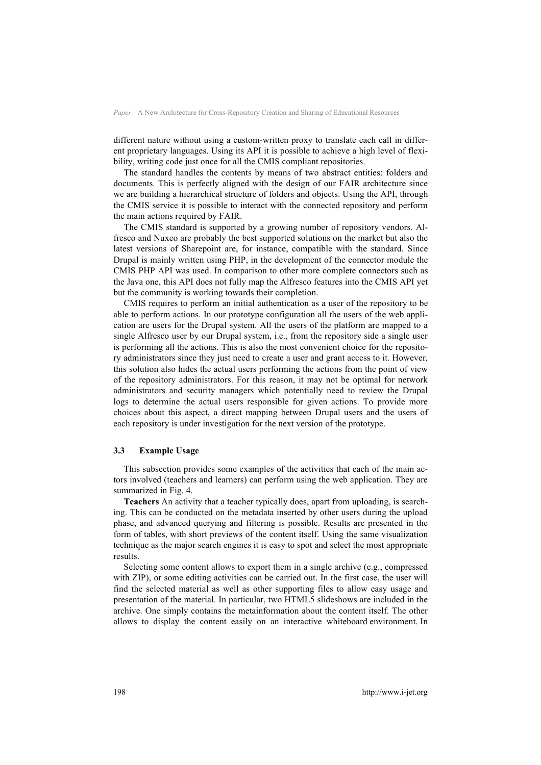different nature without using a custom-written proxy to translate each call in different proprietary languages. Using its API it is possible to achieve a high level of flexibility, writing code just once for all the CMIS compliant repositories.

The standard handles the contents by means of two abstract entities: folders and documents. This is perfectly aligned with the design of our FAIR architecture since we are building a hierarchical structure of folders and objects. Using the API, through the CMIS service it is possible to interact with the connected repository and perform the main actions required by FAIR.

The CMIS standard is supported by a growing number of repository vendors. Alfresco and Nuxeo are probably the best supported solutions on the market but also the latest versions of Sharepoint are, for instance, compatible with the standard. Since Drupal is mainly written using PHP, in the development of the connector module the CMIS PHP API was used. In comparison to other more complete connectors such as the Java one, this API does not fully map the Alfresco features into the CMIS API yet but the community is working towards their completion.

CMIS requires to perform an initial authentication as a user of the repository to be able to perform actions. In our prototype configuration all the users of the web application are users for the Drupal system. All the users of the platform are mapped to a single Alfresco user by our Drupal system, i.e., from the repository side a single user is performing all the actions. This is also the most convenient choice for the repository administrators since they just need to create a user and grant access to it. However, this solution also hides the actual users performing the actions from the point of view of the repository administrators. For this reason, it may not be optimal for network administrators and security managers which potentially need to review the Drupal logs to determine the actual users responsible for given actions. To provide more choices about this aspect, a direct mapping between Drupal users and the users of each repository is under investigation for the next version of the prototype.

#### **3.3 Example Usage**

This subsection provides some examples of the activities that each of the main actors involved (teachers and learners) can perform using the web application. They are summarized in Fig. 4.

**Teachers** An activity that a teacher typically does, apart from uploading, is searching. This can be conducted on the metadata inserted by other users during the upload phase, and advanced querying and filtering is possible. Results are presented in the form of tables, with short previews of the content itself. Using the same visualization technique as the major search engines it is easy to spot and select the most appropriate results.

Selecting some content allows to export them in a single archive (e.g., compressed with ZIP), or some editing activities can be carried out. In the first case, the user will find the selected material as well as other supporting files to allow easy usage and presentation of the material. In particular, two HTML5 slideshows are included in the archive. One simply contains the metainformation about the content itself. The other allows to display the content easily on an interactive whiteboard environment. In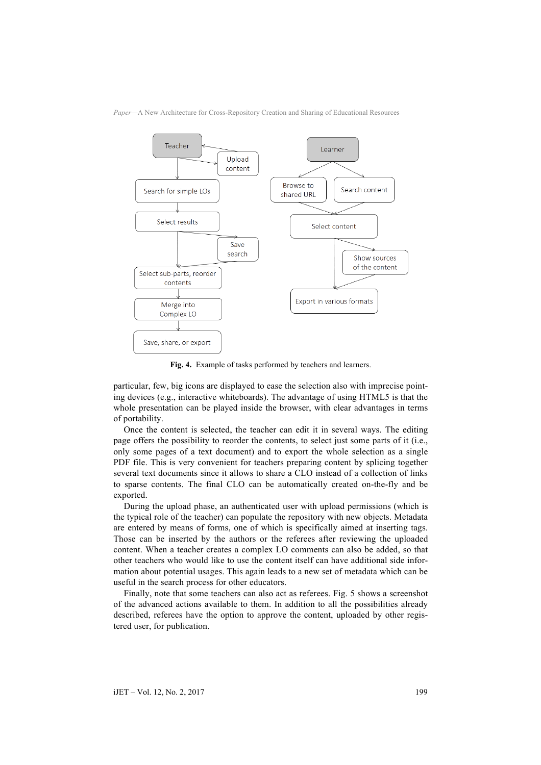

**Fig. 4.** Example of tasks performed by teachers and learners.

particular, few, big icons are displayed to ease the selection also with imprecise pointing devices (e.g., interactive whiteboards). The advantage of using HTML5 is that the whole presentation can be played inside the browser, with clear advantages in terms of portability.

Once the content is selected, the teacher can edit it in several ways. The editing page offers the possibility to reorder the contents, to select just some parts of it (i.e., only some pages of a text document) and to export the whole selection as a single PDF file. This is very convenient for teachers preparing content by splicing together several text documents since it allows to share a CLO instead of a collection of links to sparse contents. The final CLO can be automatically created on-the-fly and be exported.

During the upload phase, an authenticated user with upload permissions (which is the typical role of the teacher) can populate the repository with new objects. Metadata are entered by means of forms, one of which is specifically aimed at inserting tags. Those can be inserted by the authors or the referees after reviewing the uploaded content. When a teacher creates a complex LO comments can also be added, so that other teachers who would like to use the content itself can have additional side information about potential usages. This again leads to a new set of metadata which can be useful in the search process for other educators.

Finally, note that some teachers can also act as referees. Fig. 5 shows a screenshot of the advanced actions available to them. In addition to all the possibilities already described, referees have the option to approve the content, uploaded by other registered user, for publication.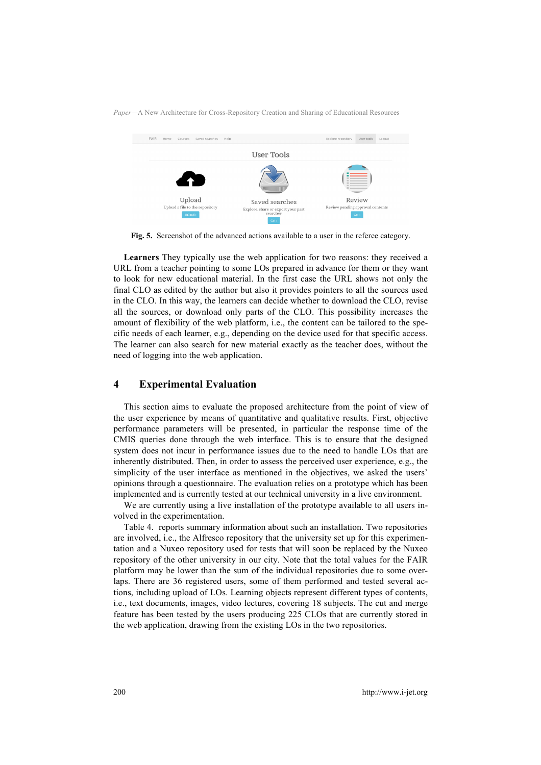

**Fig. 5.** Screenshot of the advanced actions available to a user in the referee category.

**Learners** They typically use the web application for two reasons: they received a URL from a teacher pointing to some LOs prepared in advance for them or they want to look for new educational material. In the first case the URL shows not only the final CLO as edited by the author but also it provides pointers to all the sources used in the CLO. In this way, the learners can decide whether to download the CLO, revise all the sources, or download only parts of the CLO. This possibility increases the amount of flexibility of the web platform, i.e., the content can be tailored to the specific needs of each learner, e.g., depending on the device used for that specific access. The learner can also search for new material exactly as the teacher does, without the need of logging into the web application.

### **4 Experimental Evaluation**

This section aims to evaluate the proposed architecture from the point of view of the user experience by means of quantitative and qualitative results. First, objective performance parameters will be presented, in particular the response time of the CMIS queries done through the web interface. This is to ensure that the designed system does not incur in performance issues due to the need to handle LOs that are inherently distributed. Then, in order to assess the perceived user experience, e.g., the simplicity of the user interface as mentioned in the objectives, we asked the users' opinions through a questionnaire. The evaluation relies on a prototype which has been implemented and is currently tested at our technical university in a live environment.

We are currently using a live installation of the prototype available to all users involved in the experimentation.

Table 4. reports summary information about such an installation. Two repositories are involved, i.e., the Alfresco repository that the university set up for this experimentation and a Nuxeo repository used for tests that will soon be replaced by the Nuxeo repository of the other university in our city. Note that the total values for the FAIR platform may be lower than the sum of the individual repositories due to some overlaps. There are 36 registered users, some of them performed and tested several actions, including upload of LOs. Learning objects represent different types of contents, i.e., text documents, images, video lectures, covering 18 subjects. The cut and merge feature has been tested by the users producing 225 CLOs that are currently stored in the web application, drawing from the existing LOs in the two repositories.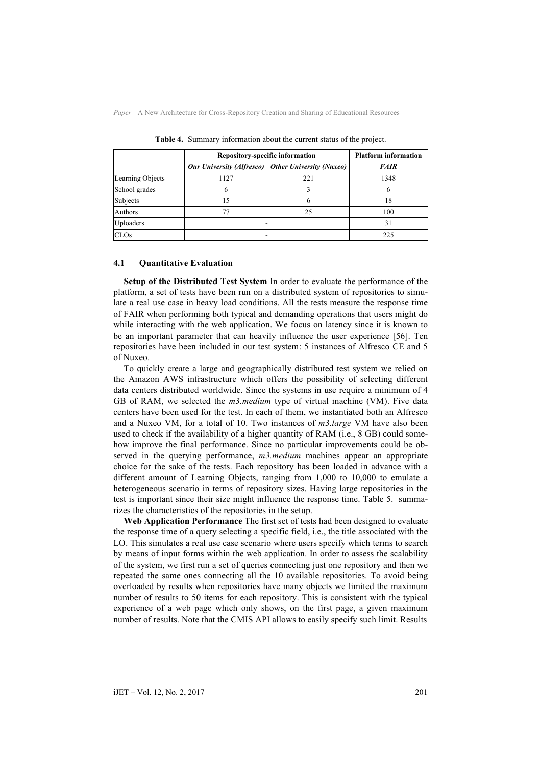|                  |                                                    | <b>Repository-specific information</b> |             |  |  |
|------------------|----------------------------------------------------|----------------------------------------|-------------|--|--|
|                  | Our University (Alfresco) Other University (Nuxeo) |                                        | <b>FAIR</b> |  |  |
| Learning Objects | 1127                                               | 221                                    | 1348        |  |  |
| School grades    | n                                                  |                                        |             |  |  |
| Subjects         | 15                                                 |                                        | 18          |  |  |
| Authors          |                                                    | 25                                     | 100         |  |  |
| Uploaders        |                                                    |                                        | 31          |  |  |
| <b>CLOs</b>      |                                                    | 225                                    |             |  |  |

**Table 4.** Summary information about the current status of the project.

#### **4.1 Quantitative Evaluation**

**Setup of the Distributed Test System** In order to evaluate the performance of the platform, a set of tests have been run on a distributed system of repositories to simulate a real use case in heavy load conditions. All the tests measure the response time of FAIR when performing both typical and demanding operations that users might do while interacting with the web application. We focus on latency since it is known to be an important parameter that can heavily influence the user experience [56]. Ten repositories have been included in our test system: 5 instances of Alfresco CE and 5 of Nuxeo.

To quickly create a large and geographically distributed test system we relied on the Amazon AWS infrastructure which offers the possibility of selecting different data centers distributed worldwide. Since the systems in use require a minimum of 4 GB of RAM, we selected the *m3.medium* type of virtual machine (VM). Five data centers have been used for the test. In each of them, we instantiated both an Alfresco and a Nuxeo VM, for a total of 10. Two instances of *m3.large* VM have also been used to check if the availability of a higher quantity of RAM (i.e., 8 GB) could somehow improve the final performance. Since no particular improvements could be observed in the querying performance, *m3.medium* machines appear an appropriate choice for the sake of the tests. Each repository has been loaded in advance with a different amount of Learning Objects, ranging from 1,000 to 10,000 to emulate a heterogeneous scenario in terms of repository sizes. Having large repositories in the test is important since their size might influence the response time. Table 5. summarizes the characteristics of the repositories in the setup.

**Web Application Performance** The first set of tests had been designed to evaluate the response time of a query selecting a specific field, i.e., the title associated with the LO. This simulates a real use case scenario where users specify which terms to search by means of input forms within the web application. In order to assess the scalability of the system, we first run a set of queries connecting just one repository and then we repeated the same ones connecting all the 10 available repositories. To avoid being overloaded by results when repositories have many objects we limited the maximum number of results to 50 items for each repository. This is consistent with the typical experience of a web page which only shows, on the first page, a given maximum number of results. Note that the CMIS API allows to easily specify such limit. Results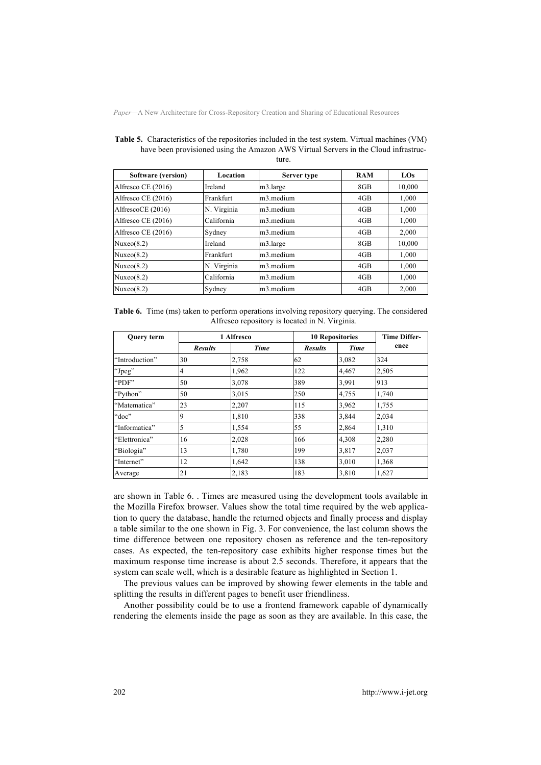| <b>Table 5.</b> Characteristics of the repositories included in the test system. Virtual machines (VM) |
|--------------------------------------------------------------------------------------------------------|
| have been provisioned using the Amazon AWS Virtual Servers in the Cloud infrastruc-                    |
| ture.                                                                                                  |

| Software (version)  | Location    | Server type | <b>RAM</b> | LOs    |
|---------------------|-------------|-------------|------------|--------|
| Alfresco CE (2016)  | Ireland     | m3.large    | 8GB        | 10,000 |
| Alfresco CE (2016)  | Frankfurt   | m3 medium   | $4G$ B     | 1,000  |
| AlfrescoCE $(2016)$ | N. Virginia | m3 medium   | 4GB        | 1,000  |
| Alfresco CE (2016)  | California  | m3 medium   | 4GB        | 1,000  |
| Alfresco CE (2016)  | Sydney      | m3 medium   | 4GB        | 2,000  |
| Nuxeo(8.2)          | Ireland     | m3.large    | 8GB        | 10,000 |
| Nuxeo(8.2)          | Frankfurt   | m3 medium   | 4GB        | 1,000  |
| Nuxeo(8.2)          | N. Virginia | m3 medium   | 4GB        | 1,000  |
| Nuxeo(8.2)          | California  | m3 medium   | 4GB        | 1,000  |
| Nuxeo(8.2)          | Sydney      | m3 medium   | 4GB        | 2,000  |

**Table 6.** Time (ms) taken to perform operations involving repository querying. The considered Alfresco repository is located in N. Virginia.

| <b>Query</b> term | 1 Alfresco     |       |                | <b>10 Repositories</b> |       |  |
|-------------------|----------------|-------|----------------|------------------------|-------|--|
|                   | <b>Results</b> | Time  | <b>Results</b> | Time                   | ence  |  |
| "Introduction"    | 30             | 2,758 | 62             | 3,082                  | 324   |  |
| "Jpeg"            | 4              | 1,962 | 122            | 4,467                  | 2,505 |  |
| "PDF"             | 50             | 3,078 | 389            | 3,991                  | 913   |  |
| "Python"          | 50             | 3,015 | 250            | 4,755                  | 1,740 |  |
| "Matematica"      | 23             | 2,207 | 115            | 3,962                  | 1,755 |  |
| "doc"             | 9              | 1,810 | 338            | 3,844                  | 2,034 |  |
| "Informatica"     | 5              | 1,554 | 55             | 2,864                  | 1,310 |  |
| "Elettronica"     | 16             | 2,028 | 166            | 4,308                  | 2,280 |  |
| "Biologia"        | 13             | 1,780 | 199            | 3,817                  | 2,037 |  |
| "Internet"        | 12             | 1,642 | 138            | 3,010                  | 1,368 |  |
| Average           | 21             | 2,183 | 183            | 3,810                  | 1,627 |  |

are shown in Table 6. . Times are measured using the development tools available in the Mozilla Firefox browser. Values show the total time required by the web application to query the database, handle the returned objects and finally process and display a table similar to the one shown in Fig. 3. For convenience, the last column shows the time difference between one repository chosen as reference and the ten-repository cases. As expected, the ten-repository case exhibits higher response times but the maximum response time increase is about 2.5 seconds. Therefore, it appears that the system can scale well, which is a desirable feature as highlighted in Section 1.

The previous values can be improved by showing fewer elements in the table and splitting the results in different pages to benefit user friendliness.

Another possibility could be to use a frontend framework capable of dynamically rendering the elements inside the page as soon as they are available. In this case, the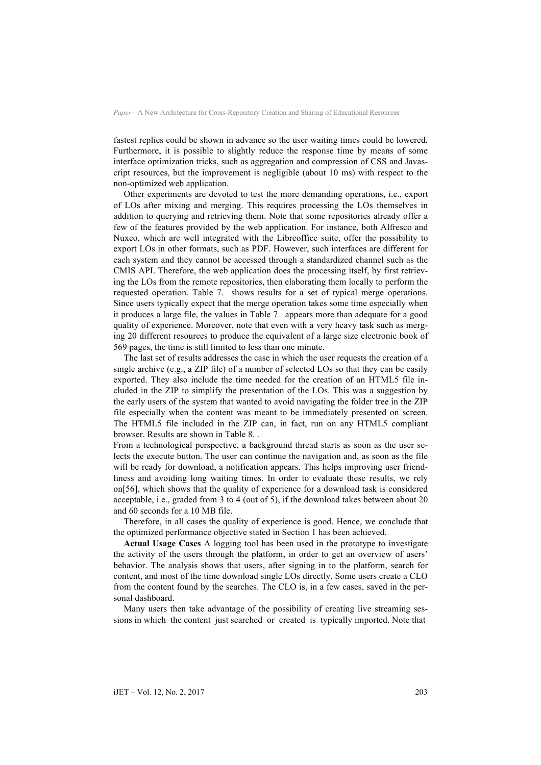fastest replies could be shown in advance so the user waiting times could be lowered. Furthermore, it is possible to slightly reduce the response time by means of some interface optimization tricks, such as aggregation and compression of CSS and Javascript resources, but the improvement is negligible (about 10 ms) with respect to the non-optimized web application.

Other experiments are devoted to test the more demanding operations, i.e., export of LOs after mixing and merging. This requires processing the LOs themselves in addition to querying and retrieving them. Note that some repositories already offer a few of the features provided by the web application. For instance, both Alfresco and Nuxeo, which are well integrated with the Libreoffice suite, offer the possibility to export LOs in other formats, such as PDF. However, such interfaces are different for each system and they cannot be accessed through a standardized channel such as the CMIS API. Therefore, the web application does the processing itself, by first retrieving the LOs from the remote repositories, then elaborating them locally to perform the requested operation. Table 7. shows results for a set of typical merge operations. Since users typically expect that the merge operation takes some time especially when it produces a large file, the values in Table 7. appears more than adequate for a good quality of experience. Moreover, note that even with a very heavy task such as merging 20 different resources to produce the equivalent of a large size electronic book of 569 pages, the time is still limited to less than one minute.

The last set of results addresses the case in which the user requests the creation of a single archive (e.g., a ZIP file) of a number of selected LOs so that they can be easily exported. They also include the time needed for the creation of an HTML5 file included in the ZIP to simplify the presentation of the LOs. This was a suggestion by the early users of the system that wanted to avoid navigating the folder tree in the ZIP file especially when the content was meant to be immediately presented on screen. The HTML5 file included in the ZIP can, in fact, run on any HTML5 compliant browser. Results are shown in Table 8. .

From a technological perspective, a background thread starts as soon as the user selects the execute button. The user can continue the navigation and, as soon as the file will be ready for download, a notification appears. This helps improving user friendliness and avoiding long waiting times. In order to evaluate these results, we rely on[56], which shows that the quality of experience for a download task is considered acceptable, i.e., graded from 3 to 4 (out of 5), if the download takes between about 20 and 60 seconds for a 10 MB file.

Therefore, in all cases the quality of experience is good. Hence, we conclude that the optimized performance objective stated in Section 1 has been achieved.

**Actual Usage Cases** A logging tool has been used in the prototype to investigate the activity of the users through the platform, in order to get an overview of users' behavior. The analysis shows that users, after signing in to the platform, search for content, and most of the time download single LOs directly. Some users create a CLO from the content found by the searches. The CLO is, in a few cases, saved in the personal dashboard.

Many users then take advantage of the possibility of creating live streaming sessions in which the content just searched or created is typically imported. Note that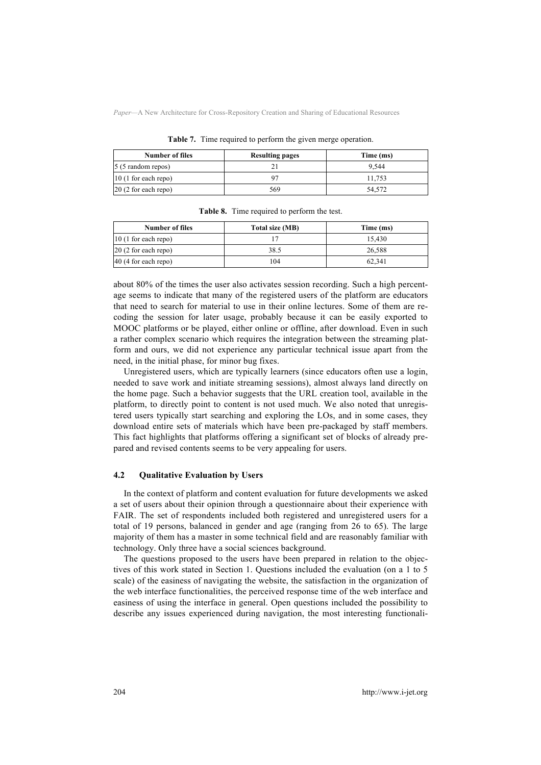| <b>Table 7.</b> Time required to perform the given merge operation. |  |
|---------------------------------------------------------------------|--|
|---------------------------------------------------------------------|--|

| Number of files                 | <b>Resulting pages</b> | Time (ms) |
|---------------------------------|------------------------|-----------|
| $\overline{5}$ (5 random repos) |                        | 9.544     |
| $10(1)$ for each repo           | o٣                     | 11.753    |
| $20(2)$ for each repo)          | 569                    | 54.572    |

**Table 8.** Time required to perform the test.

| Number of files        | Total size (MB) | Time (ms) |
|------------------------|-----------------|-----------|
| $10(1)$ for each repo  |                 | 15.430    |
| $20(2)$ for each repo) | 38.5            | 26.588    |
| $40(4)$ for each repo) | 104             | 62.341    |

about 80% of the times the user also activates session recording. Such a high percentage seems to indicate that many of the registered users of the platform are educators that need to search for material to use in their online lectures. Some of them are recoding the session for later usage, probably because it can be easily exported to MOOC platforms or be played, either online or offline, after download. Even in such a rather complex scenario which requires the integration between the streaming platform and ours, we did not experience any particular technical issue apart from the need, in the initial phase, for minor bug fixes.

Unregistered users, which are typically learners (since educators often use a login, needed to save work and initiate streaming sessions), almost always land directly on the home page. Such a behavior suggests that the URL creation tool, available in the platform, to directly point to content is not used much. We also noted that unregistered users typically start searching and exploring the LOs, and in some cases, they download entire sets of materials which have been pre-packaged by staff members. This fact highlights that platforms offering a significant set of blocks of already prepared and revised contents seems to be very appealing for users.

#### **4.2 Qualitative Evaluation by Users**

In the context of platform and content evaluation for future developments we asked a set of users about their opinion through a questionnaire about their experience with FAIR. The set of respondents included both registered and unregistered users for a total of 19 persons, balanced in gender and age (ranging from 26 to 65). The large majority of them has a master in some technical field and are reasonably familiar with technology. Only three have a social sciences background.

The questions proposed to the users have been prepared in relation to the objectives of this work stated in Section 1. Questions included the evaluation (on a 1 to 5 scale) of the easiness of navigating the website, the satisfaction in the organization of the web interface functionalities, the perceived response time of the web interface and easiness of using the interface in general. Open questions included the possibility to describe any issues experienced during navigation, the most interesting functionali-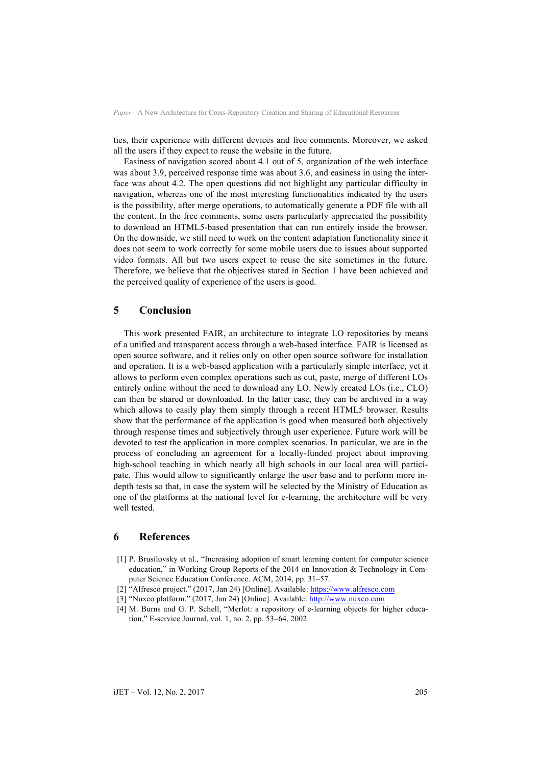ties, their experience with different devices and free comments. Moreover, we asked all the users if they expect to reuse the website in the future.

Easiness of navigation scored about 4.1 out of 5, organization of the web interface was about 3.9, perceived response time was about 3.6, and easiness in using the interface was about 4.2. The open questions did not highlight any particular difficulty in navigation, whereas one of the most interesting functionalities indicated by the users is the possibility, after merge operations, to automatically generate a PDF file with all the content. In the free comments, some users particularly appreciated the possibility to download an HTML5-based presentation that can run entirely inside the browser. On the downside, we still need to work on the content adaptation functionality since it does not seem to work correctly for some mobile users due to issues about supported video formats. All but two users expect to reuse the site sometimes in the future. Therefore, we believe that the objectives stated in Section 1 have been achieved and the perceived quality of experience of the users is good.

### **5 Conclusion**

This work presented FAIR, an architecture to integrate LO repositories by means of a unified and transparent access through a web-based interface. FAIR is licensed as open source software, and it relies only on other open source software for installation and operation. It is a web-based application with a particularly simple interface, yet it allows to perform even complex operations such as cut, paste, merge of different LOs entirely online without the need to download any LO. Newly created LOs (i.e., CLO) can then be shared or downloaded. In the latter case, they can be archived in a way which allows to easily play them simply through a recent HTML5 browser. Results show that the performance of the application is good when measured both objectively through response times and subjectively through user experience. Future work will be devoted to test the application in more complex scenarios. In particular, we are in the process of concluding an agreement for a locally-funded project about improving high-school teaching in which nearly all high schools in our local area will participate. This would allow to significantly enlarge the user base and to perform more indepth tests so that, in case the system will be selected by the Ministry of Education as one of the platforms at the national level for e-learning, the architecture will be very well tested.

#### **6 References**

- [1] P. Brusilovsky et al., "Increasing adoption of smart learning content for computer science education," in Working Group Reports of the 2014 on Innovation & Technology in Computer Science Education Conference. ACM, 2014, pp. 31–57.
- [2] "Alfresco project." (2017, Jan 24) [Online]. Available: https://www.alfresco.com
- [3] "Nuxeo platform." (2017, Jan 24) [Online]. Available: http://www.nuxeo.com
- [4] M. Burns and G. P. Schell, "Merlot: a repository of e-learning objects for higher education," E-service Journal, vol. 1, no. 2, pp. 53–64, 2002.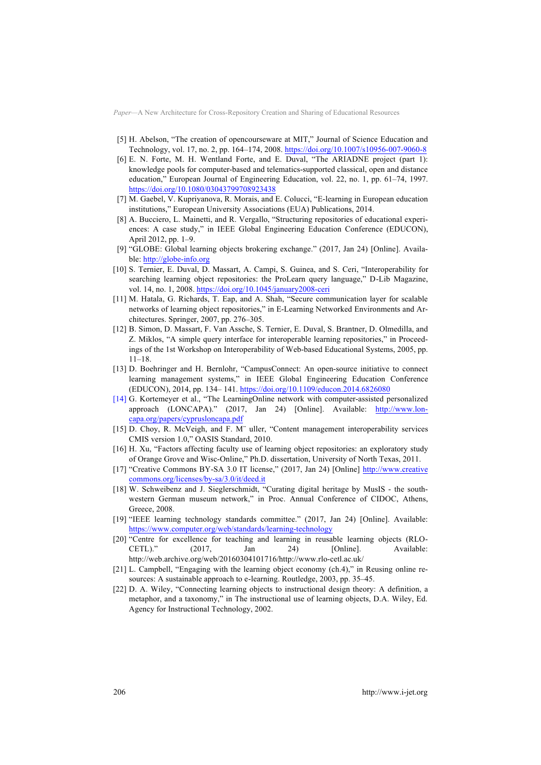- [5] H. Abelson, "The creation of opencourseware at MIT," Journal of Science Education and Technology, vol. 17, no. 2, pp. 164–174, 2008. https://doi.org/10.1007/s10956-007-9060-8
- [6] E. N. Forte, M. H. Wentland Forte, and E. Duval, "The ARIADNE project (part 1): knowledge pools for computer-based and telematics-supported classical, open and distance education," European Journal of Engineering Education, vol. 22, no. 1, pp. 61–74, 1997. https://doi.org/10.1080/03043799708923438
- [7] M. Gaebel, V. Kupriyanova, R. Morais, and E. Colucci, "E-learning in European education institutions," European University Associations (EUA) Publications, 2014.
- [8] A. Bucciero, L. Mainetti, and R. Vergallo, "Structuring repositories of educational experiences: A case study," in IEEE Global Engineering Education Conference (EDUCON), April 2012, pp. 1–9.
- [9] "GLOBE: Global learning objects brokering exchange." (2017, Jan 24) [Online]. Available: http://globe-info.org
- [10] S. Ternier, E. Duval, D. Massart, A. Campi, S. Guinea, and S. Ceri, "Interoperability for searching learning object repositories: the ProLearn query language," D-Lib Magazine, vol. 14, no. 1, 2008. https://doi.org/10.1045/january2008-ceri
- [11] M. Hatala, G. Richards, T. Eap, and A. Shah, "Secure communication layer for scalable networks of learning object repositories," in E-Learning Networked Environments and Architectures. Springer, 2007, pp. 276–305.
- [12] B. Simon, D. Massart, F. Van Assche, S. Ternier, E. Duval, S. Brantner, D. Olmedilla, and Z. Miklos, "A simple query interface for interoperable learning repositories," in Proceedings of the 1st Workshop on Interoperability of Web-based Educational Systems, 2005, pp. 11–18.
- [13] D. Boehringer and H. Bernlohr, "CampusConnect: An open-source initiative to connect learning management systems," in IEEE Global Engineering Education Conference (EDUCON), 2014, pp. 134– 141. https://doi.org/10.1109/educon.2014.6826080
- [14] G. Kortemeyer et al., "The LearningOnline network with computer-assisted personalized approach (LONCAPA)." (2017, Jan 24) [Online]. Available: http://www.loncapa.org/papers/cyprusloncapa.pdf
- [15] D. Choy, R. McVeigh, and F. M<sup>er</sup> uller, "Content management interoperability services CMIS version 1.0," OASIS Standard, 2010.
- [16] H. Xu, "Factors affecting faculty use of learning object repositories: an exploratory study of Orange Grove and Wisc-Online," Ph.D. dissertation, University of North Texas, 2011.
- [17] "Creative Commons BY-SA 3.0 IT license," (2017, Jan 24) [Online] http://www.creative commons.org/licenses/by-sa/3.0/it/deed.it
- [18] W. Schweibenz and J. Sieglerschmidt, "Curating digital heritage by MusIS the southwestern German museum network," in Proc. Annual Conference of CIDOC, Athens, Greece, 2008.
- [19] "IEEE learning technology standards committee." (2017, Jan 24) [Online]. Available: https://www.computer.org/web/standards/learning-technology
- [20] "Centre for excellence for teaching and learning in reusable learning objects (RLO-CETL)." (2017, Jan 24) [Online]. Available: http://web.archive.org/web/20160304101716/http://www.rlo-cetl.ac.uk/
- [21] L. Campbell, "Engaging with the learning object economy (ch.4)," in Reusing online resources: A sustainable approach to e-learning. Routledge, 2003, pp. 35–45.
- [22] D. A. Wiley, "Connecting learning objects to instructional design theory: A definition, a metaphor, and a taxonomy," in The instructional use of learning objects, D.A. Wiley, Ed. Agency for Instructional Technology, 2002.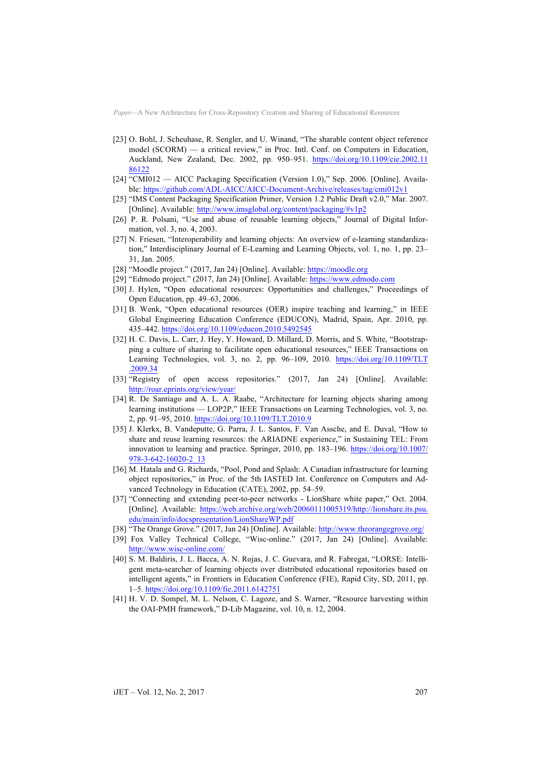- [23] O. Bohl, J. Scheuhase, R. Sengler, and U. Winand, "The sharable content object reference model (SCORM) — a critical review," in Proc. Intl. Conf. on Computers in Education, Auckland, New Zealand, Dec. 2002, pp. 950–951. https://doi.org/10.1109/cie.2002.11 86122
- [24] "CMI012 AICC Packaging Specification (Version 1.0)," Sep. 2006. [Online]. Available: https://github.com/ADL-AICC/AICC-Document-Archive/releases/tag/cmi012v1
- [25] "IMS Content Packaging Specification Primer, Version 1.2 Public Draft v2.0," Mar. 2007. [Online]. Available: http://www.imsglobal.org/content/packaging/#v1p2
- [26] P. R. Polsani, "Use and abuse of reusable learning objects," Journal of Digital Information, vol. 3, no. 4, 2003.
- [27] N. Friesen, "Interoperability and learning objects: An overview of e-learning standardization," Interdisciplinary Journal of E-Learning and Learning Objects, vol. 1, no. 1, pp. 23– 31, Jan. 2005.
- [28] "Moodle project." (2017, Jan 24) [Online]. Available: https://moodle.org
- [29] "Edmodo project." (2017, Jan 24) [Online]. Available: https://www.edmodo.com
- [30] J. Hylen, "Open educational resources: Opportunities and challenges," Proceedings of Open Education, pp. 49–63, 2006.
- [31] B. Wenk, "Open educational resources (OER) inspire teaching and learning," in IEEE Global Engineering Education Conference (EDUCON), Madrid, Spain, Apr. 2010, pp. 435–442. https://doi.org/10.1109/educon.2010.5492545
- [32] H. C. Davis, L. Carr, J. Hey, Y. Howard, D. Millard, D. Morris, and S. White, "Bootstrapping a culture of sharing to facilitate open educational resources," IEEE Transactions on Learning Technologies, vol. 3, no. 2, pp. 96–109, 2010. https://doi.org/10.1109/TLT .2009.34
- [33] "Registry of open access repositories." (2017, Jan 24) [Online]. Available: http://roar.eprints.org/view/year/
- [34] R. De Santiago and A. L. A. Raabe, "Architecture for learning objects sharing among learning institutions — LOP2P," IEEE Transactions on Learning Technologies, vol. 3, no. 2, pp. 91–95, 2010. https://doi.org/10.1109/TLT.2010.9
- [35] J. Klerkx, B. Vandeputte, G. Parra, J. L. Santos, F. Van Assche, and E. Duval, "How to share and reuse learning resources: the ARIADNE experience," in Sustaining TEL: From innovation to learning and practice. Springer, 2010, pp. 183–196. https://doi.org/10.1007/ 978-3-642-16020-2\_13
- [36] M. Hatala and G. Richards, "Pool, Pond and Splash: A Canadian infrastructure for learning object repositories," in Proc. of the 5th IASTED Int. Conference on Computers and Advanced Technology in Education (CATE), 2002, pp. 54–59.
- [37] "Connecting and extending peer-to-peer networks LionShare white paper," Oct. 2004. [Online]. Available: https://web.archive.org/web/20060111005319/http://lionshare.its.psu. edu/main/info/docspresentation/LionShareWP.pdf
- [38] "The Orange Grove." (2017, Jan 24) [Online]. Available: http://www.theorangegrove.org/
- [39] Fox Valley Technical College, "Wisc-online." (2017, Jan 24) [Online]. Available: http://www.wisc-online.com/
- [40] S. M. Baldiris, J. L. Bacca, A. N. Rojas, J. C. Guevara, and R. Fabregat, "LORSE: Intelligent meta-searcher of learning objects over distributed educational repositories based on intelligent agents," in Frontiers in Education Conference (FIE), Rapid City, SD, 2011, pp. 1–5. https://doi.org/10.1109/fie.2011.6142751
- [41] H. V. D. Sompel, M. L. Nelson, C. Lagoze, and S. Warner, "Resource harvesting within the OAI-PMH framework," D-Lib Magazine, vol. 10, n. 12, 2004.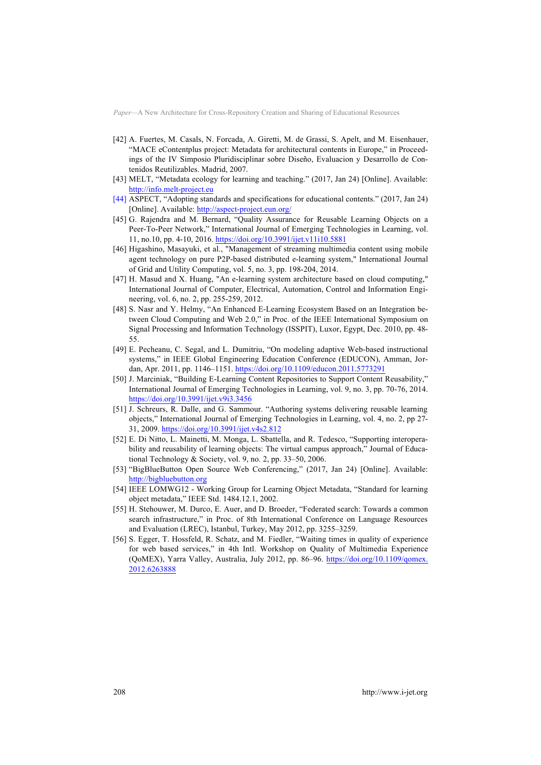- [42] A. Fuertes, M. Casals, N. Forcada, A. Giretti, M. de Grassi, S. Apelt, and M. Eisenhauer, "MACE eContentplus project: Metadata for architectural contents in Europe," in Proceedings of the IV Simposio Pluridisciplinar sobre Diseño, Evaluacion y Desarrollo de Contenidos Reutilizables. Madrid, 2007.
- [43] MELT, "Metadata ecology for learning and teaching." (2017, Jan 24) [Online]. Available: http://info.melt-project.eu
- [44] ASPECT, "Adopting standards and specifications for educational contents." (2017, Jan 24) [Online]. Available: http://aspect-project.eun.org/
- [45] G. Rajendra and M. Bernard, "Quality Assurance for Reusable Learning Objects on a Peer-To-Peer Network," International Journal of Emerging Technologies in Learning, vol. 11, no.10, pp. 4-10, 2016. https://doi.org/10.3991/ijet.v11i10.5881
- [46] Higashino, Masayuki, et al., "Management of streaming multimedia content using mobile agent technology on pure P2P-based distributed e-learning system," International Journal of Grid and Utility Computing, vol. 5, no. 3, pp. 198-204, 2014.
- [47] H. Masud and X. Huang, "An e-learning system architecture based on cloud computing," International Journal of Computer, Electrical, Automation, Control and Information Engineering, vol. 6, no. 2, pp. 255-259, 2012.
- [48] S. Nasr and Y. Helmy, "An Enhanced E-Learning Ecosystem Based on an Integration between Cloud Computing and Web 2.0," in Proc. of the IEEE International Symposium on Signal Processing and Information Technology (ISSPIT), Luxor, Egypt, Dec. 2010, pp. 48- 55.
- [49] E. Pecheanu, C. Segal, and L. Dumitriu, "On modeling adaptive Web-based instructional systems," in IEEE Global Engineering Education Conference (EDUCON), Amman, Jordan, Apr. 2011, pp. 1146–1151. https://doi.org/10.1109/educon.2011.5773291
- [50] J. Marciniak, "Building E-Learning Content Repositories to Support Content Reusability," International Journal of Emerging Technologies in Learning, vol. 9, no. 3, pp. 70-76, 2014. https://doi.org/10.3991/ijet.v9i3.3456
- [51] J. Schreurs, R. Dalle, and G. Sammour. "Authoring systems delivering reusable learning objects," International Journal of Emerging Technologies in Learning, vol. 4, no. 2, pp 27- 31, 2009. https://doi.org/10.3991/ijet.v4s2.812
- [52] E. Di Nitto, L. Mainetti, M. Monga, L. Sbattella, and R. Tedesco, "Supporting interoperability and reusability of learning objects: The virtual campus approach," Journal of Educational Technology & Society, vol. 9, no. 2, pp. 33–50, 2006.
- [53] "BigBlueButton Open Source Web Conferencing," (2017, Jan 24) [Online]. Available: http://bigbluebutton.org
- [54] IEEE LOMWG12 Working Group for Learning Object Metadata, "Standard for learning object metadata," IEEE Std. 1484.12.1, 2002.
- [55] H. Stehouwer, M. Durco, E. Auer, and D. Broeder, "Federated search: Towards a common search infrastructure," in Proc. of 8th International Conference on Language Resources and Evaluation (LREC), Istanbul, Turkey, May 2012, pp. 3255–3259.
- [56] S. Egger, T. Hossfeld, R. Schatz, and M. Fiedler, "Waiting times in quality of experience for web based services," in 4th Intl. Workshop on Quality of Multimedia Experience (QoMEX), Yarra Valley, Australia, July 2012, pp. 86–96. https://doi.org/10.1109/qomex. 2012.6263888